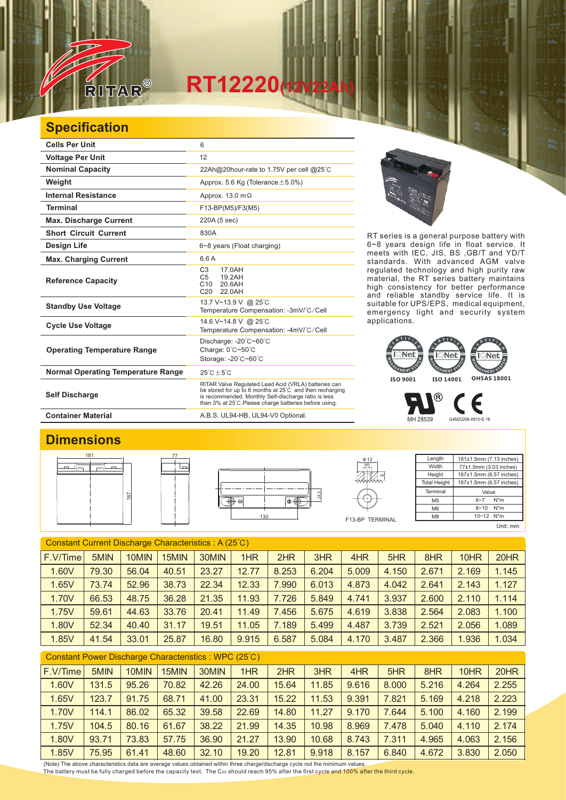

## **Specification**

RITAR

| <b>Cells Per Unit</b>                     | 6                                                                                                                                                                                                                                  |
|-------------------------------------------|------------------------------------------------------------------------------------------------------------------------------------------------------------------------------------------------------------------------------------|
| <b>Voltage Per Unit</b>                   | 12                                                                                                                                                                                                                                 |
| <b>Nominal Capacity</b>                   | 22Ah@20hour-rate to 1.75V per cell @25°C                                                                                                                                                                                           |
| Weight                                    | Approx. 5.6 Kg (Tolerance $\pm$ 5.0%)                                                                                                                                                                                              |
| <b>Internal Resistance</b>                | Approx. 13.0 m $\Omega$                                                                                                                                                                                                            |
| <b>Terminal</b>                           | F13-BP(M5)/F3(M5)                                                                                                                                                                                                                  |
| <b>Max. Discharge Current</b>             | 220A (5 sec)                                                                                                                                                                                                                       |
| <b>Short Circuit Current</b>              | 830A                                                                                                                                                                                                                               |
| Design Life                               | 6~8 years (Float charging)                                                                                                                                                                                                         |
| <b>Max. Charging Current</b>              | 6.6 A                                                                                                                                                                                                                              |
| <b>Reference Capacity</b>                 | C <sub>3</sub><br>17.0AH<br>19.2AH<br>C <sub>5</sub><br>C10<br>20.6AH<br>C <sub>20</sub><br>22.0AH                                                                                                                                 |
| <b>Standby Use Voltage</b>                | 13.7 V~13.9 V @ 25°C<br>Temperature Compensation: -3mV/°C/Cell                                                                                                                                                                     |
| <b>Cycle Use Voltage</b>                  | 14.6 V~14.8 V @ 25°C<br>Temperature Compensation: -4mV/°C/Cell                                                                                                                                                                     |
| <b>Operating Temperature Range</b>        | Discharge: -20°C~60°C<br>Charge: 0°C~50°C<br>Storage: -20°C~60°C                                                                                                                                                                   |
| <b>Normal Operating Temperature Range</b> | $25^{\circ}$ C + 5 $^{\circ}$ C                                                                                                                                                                                                    |
| <b>Self Discharge</b>                     | RITAR Valve Regulated Lead Acid (VRLA) batteries can<br>be stored for up to 6 months at 25°C and then recharging<br>is recommended. Monthly Self-discharge ratio is less<br>than 3% at 25°C. Please charge batteries before using. |

77

RT series is a general purpose battery with 6~8 years design life in float service. It meets with IEC, JIS, BS ,GB/T and YD/T standards. With advanced AGM valve regulated technology and high purity raw material, the RT series battery maintains high consistency for better performance and reliable standby service life. It is suitable for UPS/EPS, medical equipment, emergency light and security system applications.



MH 28539 G4M20206-0910-E-16

®

## **Container Material** A.B.S. UL94-HB, UL94-V0 Optional.

## **Dimensions**







**Length Width Height** Total Height 181±1.5mm (7.13 inches) 77±1.5mm (3.03 inches) 167±1.5mm (6.57 inches) 167±1.5mm (6.57 inches) Terminal M5 M6 M8 Value  $6 - 7$  N<sup>\*</sup>m  $8 - 10$  N<sup>\*</sup>m 10~12 N\*m

Е

Unit: mm

| Constant Current Discharge Characteristics: A (25°C) |       |       |       |       |       |       |       |       |       |       |       |       |
|------------------------------------------------------|-------|-------|-------|-------|-------|-------|-------|-------|-------|-------|-------|-------|
| F.V/Time                                             | 5MIN  | 10MIN | 15MIN | 30MIN | 1HR   | 2HR   | 3HR   | 4HR   | 5HR   | 8HR   | 10HR  | 20HR  |
| 1.60V                                                | 79.30 | 56.04 | 40.51 | 23.27 | 12.77 | 8.253 | 6.204 | 5.009 | 4.150 | 2.671 | 2.169 | 1.145 |
| 1.65V                                                | 73.74 | 52.96 | 38.73 | 22.34 | 12.33 | 7.990 | 6.013 | 4.873 | 4.042 | 2.641 | 2.143 | 1.127 |
| 1.70V                                                | 66.53 | 48.75 | 36.28 | 21.35 | 11.93 | 7.726 | 5.849 | 4.741 | 3.937 | 2.600 | 2.110 | 1.114 |
| 1.75V                                                | 59.61 | 44.63 | 33.76 | 20.41 | 11.49 | 7.456 | 5.675 | 4.619 | 3.838 | 2.564 | 2.083 | 1.100 |
| 1.80V                                                | 52.34 | 40.40 | 31.17 | 19.51 | 11.05 | 7.189 | 5.499 | 4.487 | 3.739 | 2.521 | 2.056 | 1.089 |
| 1.85V                                                | 41.54 | 33.01 | 25.87 | 16.80 | 9.915 | 6.587 | 5.084 | 4.170 | 3.487 | 2.366 | 1.936 | 1.034 |
| Constant Power Discharge Characteristics: WPC (25°C) |       |       |       |       |       |       |       |       |       |       |       |       |

| F.V/Time | 5MIN  | 10MIN | 15MIN | 30MIN | 1HR   | 2HR   | 3HR   | 4HR   | 5HR   | 8HR   | 10HR  | 20HR  |
|----------|-------|-------|-------|-------|-------|-------|-------|-------|-------|-------|-------|-------|
| 1.60V    | 131.5 | 95.26 | 70.82 | 42.26 | 24.00 | 15.64 | 11.85 | 9.616 | 8.000 | 5.216 | 4.264 | 2.255 |
| 1.65V    | 123.7 | 91.75 | 68.71 | 41.00 | 23.31 | 15.22 | 11.53 | 9.391 | 7.821 | 5.169 | 4.218 | 2.223 |
| 1.70V    | 114.1 | 86.02 | 65.32 | 39.58 | 22.69 | 14.80 | 11.27 | 9.170 | 7.644 | 5.100 | 4.160 | 2.199 |
| 1.75V    | 104.5 | 80.16 | 61.67 | 38.22 | 21.99 | 14.35 | 10.98 | 8.969 | 7.478 | 5.040 | 4.110 | 2.174 |
| 1.80V    | 93.71 | 73.83 | 57.75 | 36.90 | 21.27 | 13.90 | 10.68 | 8.743 | 7.311 | 4.965 | 4.063 | 2.156 |
| 1.85V    | 75.95 | 61.41 | 48.60 | 32.10 | 19.20 | 12.81 | 9.918 | 8.157 | 6.840 | 4.672 | 3.830 | 2.050 |

(Note) The above characteristics data are average values obtained within three charge/discharge cycle not the minimum values. The battery must be fully charged before the capacity test. The C20 should reach 95% after the first cycle and 100% after the third cycle.